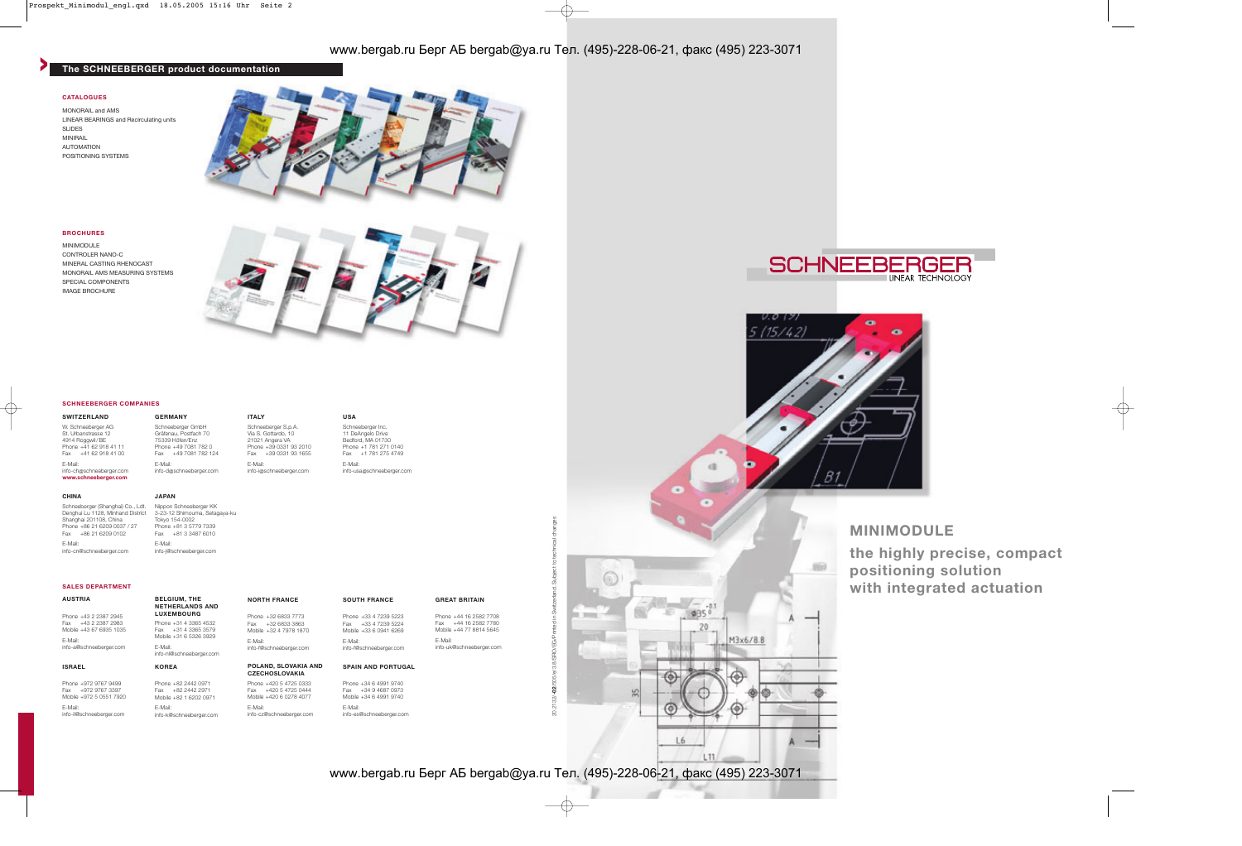MONORAIL and AMS LINEAR BEARINGS and Recirculating units SLIDES MINIRAIL AUTOMATION POSITIONING SYSTEMS



#### **CATALOGUES**

MINIMODULE CONTROLER NANO-C MINERAL CASTING RHENOCAST MONORAIL AMS MEASURING SYSTEMS SPECIAL COMPONENTS IMAGE BROCHURE



### **BROCHURES**



L11

www.bergab.ru Берг АБ bergab@ya.ru Тел. (495)-228-06-21, факс (495) 223-3071

**the highly precise, compact positioning solution with integrated actuation**

Phone +44 16 2582 7708 Fax +44 16 2582 7780 Mobile +44 77 8814 5645

# www.bergab.ru Берг АБ bergab@ya.ru Тел. (495)-228-06-21, факс (495) 223-3071

## **> The SCHNEEBERGER product documentation**

**AUSTRIA**

Phone +43 2 2387 2945 Fax +43 2 2387 2983 Mobile +43 67 6935 1035

E-Mail: info-a@schneeberger.com

**SALES DEPARTMENT**

**SOUTH FRANCE** Phone +33 4 7239 5223 Fax +33 4 7239 5224

## **BELGIUM, THE NETHERLANDS AND LUXEMBOURG** Phone +31 4 3365 4532 Fax +31 4 3365 3579 Mobile +31 6 5326 3929

#### **GREAT BRITAIN**

E-Mail:

info-uk@schneeberger.com

#### **ISRAEL**

Phone +972 9767 9499 Fax +972 9767 3397 Mobile +972 5 0551 7920 E-Mail: info-il@schneeberger.com

**KOREA** Phone +82 2442 0971 Fax +82 2442 2971 Mobile +82 1 6202 0971 E-Mail: info-k@schneeberger.com

#### **POLAND, SLOVAKIA AND CZECHOSLOVAKIA** Phone +420 5 4725 0333

Mobile +33 6 0941 6269 E-Mail: info-f@schneeberger.com info-f@schneeberger.com

Fax +420 5 4725 0444 Mobile +420 6 0278 4077

E-Mail:

info-cz@schneeberger.com

#### **SPAIN AND PORTUGAL**

Phone +34 6 4991 9740

Fax +34 9 4687 0973 Mobile +34 6 4991 9740 E-Mail: info-es@schneeberger.com

20.2132/**-02**/505/e/3.8/SRO/EG/Printed in Switzerland. Subject to technical changes 20.2132/-02/505/e/3.8/SRO/EG/Printed in Switzerland. Subject to tech **St. Senator** 

E-Mail: info-nl@schneeberger.com

**NORTH FRANCE** Phone +32 6833 7773 Fax +32 6833 3863 Mobile +32 4 7978 1870

E-Mail:

### **SWITZERLAND**

W. Schneeberger AG St. Urbanstrasse 12 4914 Roggwil/BE Phone +41 62 918 41 11 Fax +41 62 918 41 00 E-Mail: info-ch@schneeberger.com **www.schneeberger.com**

#### **SCHNEEBERGER COMPANIES**

**GERMANY**

E-Mail:

**ITALY**

#### Schneeberger GmbH Gräfenau, Postfach 70 75339 Höfen/Enz Phone +49 7081 782 0 Fax +49 7081 782 124 info-d@schneeberger.com Schneeberger S.p.A. Via S. Gottardo, 10 21021 Angera VA Phone +39 0331 93 2010 Fax +39 0331 93 1655 E-Mail: info-i@schneeberger.com

## **USA**

Schneeberger Inc. 11 DeAngelo Drive Bedford, MA 01730 Phone +1 781 271 0140 Fax +1 781 275 4749 E-Mail: info-usa@schneeberger.com

#### **CHINA**

Schneeberger (Shanghai) Co., Ldt. Denghui Lu 1128, Minhand District Shanghai 201108, China Phone +86 21 6209 0037 / 27 Fax +86 21 6209 0102 E-Mail: info-cn@schneeberger.com

## **JAPAN**

Nippon Schneeberger KK 3-23-12 Shimouma, Setagaya-ku Tokyo 154-0002 Phone +81 3 5779 7339 Fax +81 3 3487 6010 E-Mail: info-j@schneeberger.com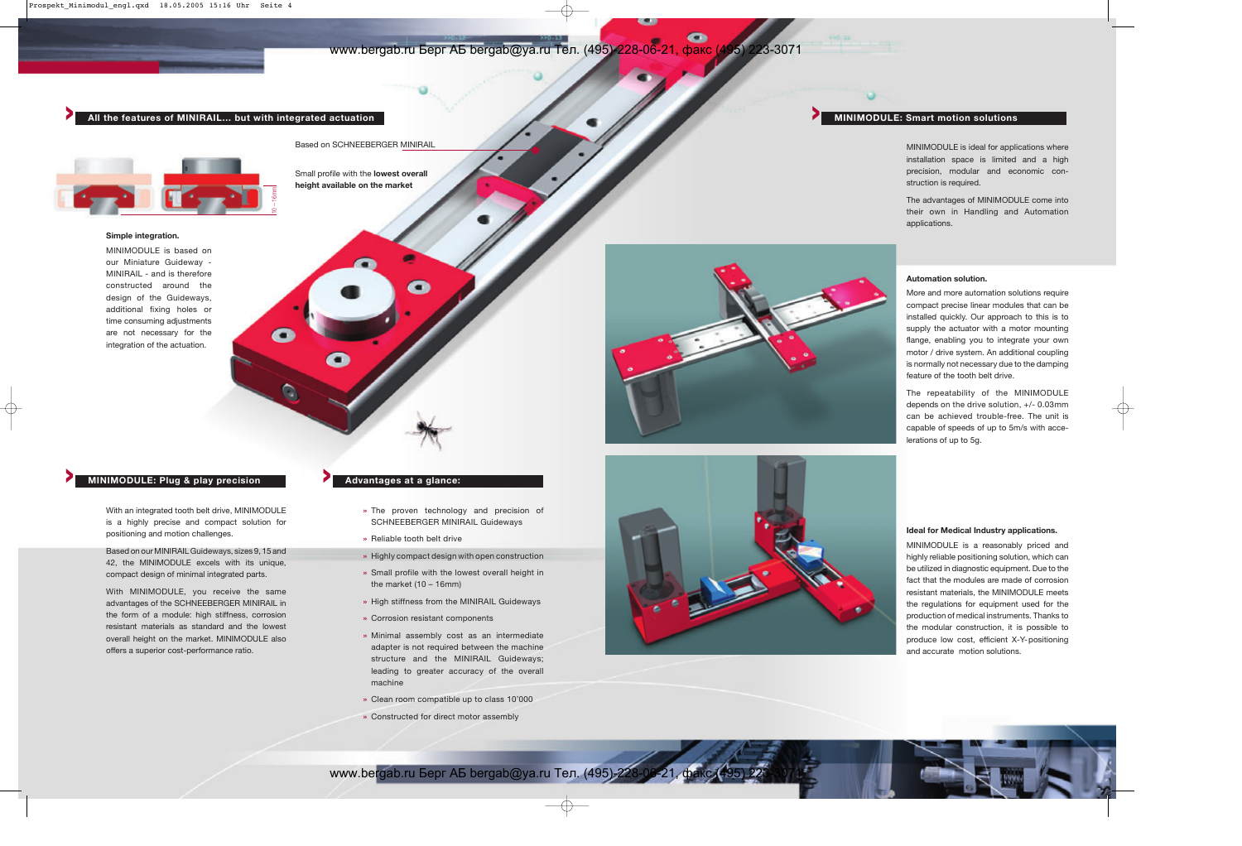## **> All the features of MINIRAIL… but with integrated actuation**

 $\bullet$ 

Q

Based on SCHNEEBERGER MINIRAIL

Small profile with the **lowest overall height available on the market** 

## **> MINIMODULE: Plug & play precision**

With an integrated tooth belt drive, MINIMODULE is a highly precise and compact solution for positioning and motion challenges.

Based on our MINIRAIL Guideways, sizes 9, 15 and 42, the MINIMODULE excels with its unique, compact design of minimal integrated parts.

With MINIMODULE, you receive the same advantages of the SCHNEEBERGER MINIRAIL in the form of a module: high stiffness, corrosion resistant materials as standard and the lowest overall height on the market. MINIMODULE also offers a superior cost-performance ratio.

## **Simple integration.**

MINIMODULE is based on our Miniature Guideway - MINIRAIL - and is therefore constructed around the design of the Guideways, additional fixing holes or time consuming adjustments are not necessary for the integration of the actuation.

## **> Advantages at a glance:**

- **»** The proven technology and precision of SCHNEEBERGER MINIRAIL Guideways
- **»** Reliable tooth belt drive
- **»** Highly compact design with open construction
- **»** Small profile with the lowest overall height in the market  $(10 - 16$ mm)
- **»** High stiffness from the MINIRAIL Guideways
- **»** Corrosion resistant components
- **»** Minimal assembly cost as an intermediate adapter is not required between the machine structure and the MINIRAIL Guideways; leading to greater accuracy of the overall machine
- **»** Clean room compatible up to class 10'000
- **»** Constructed for direct motor assembly





www.bergab.ru Берг АБ bergab@ya.ru Тел. (495)-228-06-21, факс (495) 223-3071

### **Ideal for Medical Industry applications.**

MINIMODULE is a reasonably priced and highly reliable positioning solution, which can be utilized in diagnostic equipment. Due to the fact that the modules are made of corrosion resistant materials, the MINIMODULE meets the regulations for equipment used for the production of medical instruments. Thanks to the modular construction, it is possible to produce low cost, efficient X-Y-positioning and accurate motion solutions.





MINIMODULE is ideal for applications where installation space is limited and a high precision, modular and economic construction is required.

The advantages of MINIMODULE come into their own in Handling and Automation applications.



## **Automation solution.**

More and more automation solutions require compact precise linear modules that can be installed quickly. Our approach to this is to supply the actuator with a motor mounting flange, enabling you to integrate your own motor / drive system. An additional coupling is normally not necessary due to the damping feature of the tooth belt drive.

The repeatability of the MINIMODULE depends on the drive solution, +/- 0.03mm can be achieved trouble-free. The unit is capable of speeds of up to 5m/s with accelerations of up to 5g.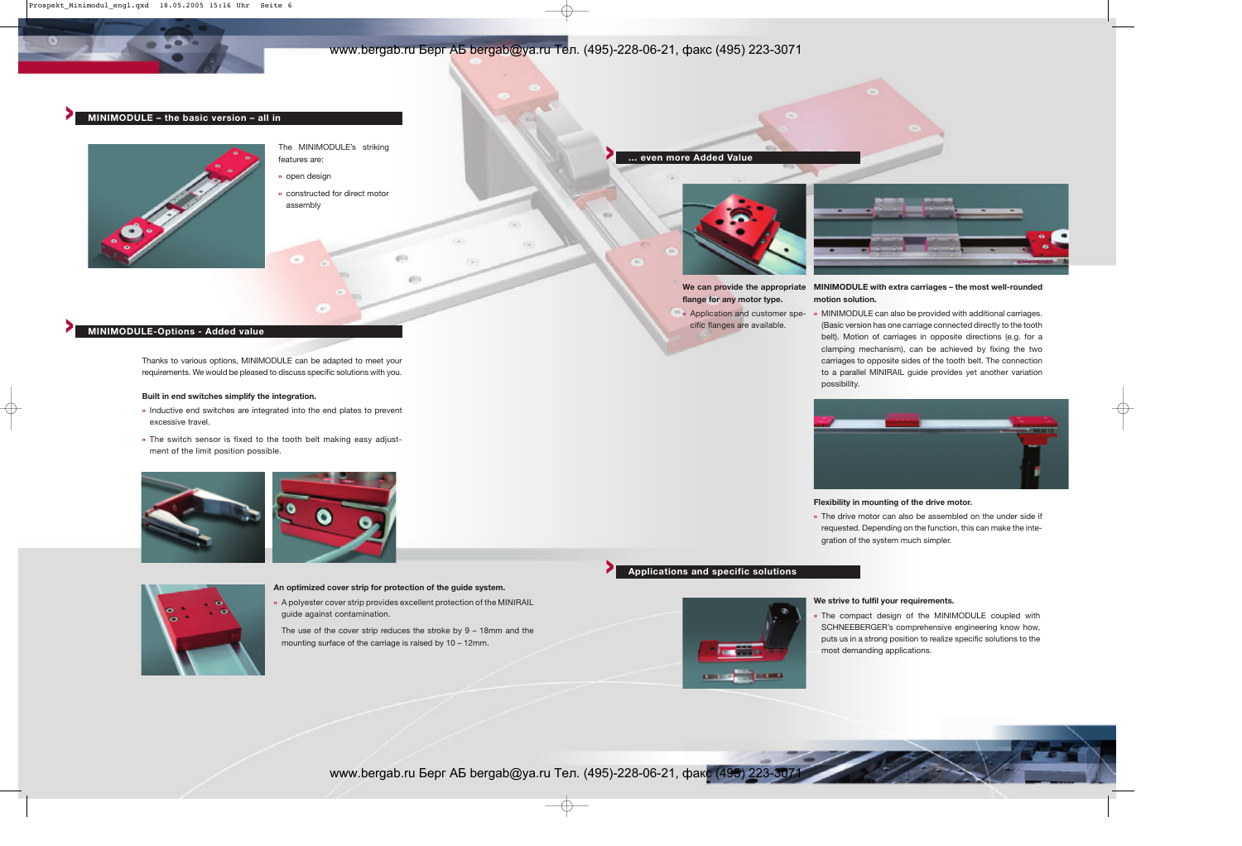## **> MINIMODULE-Options - Added value**

Thanks to various options, MINIMODULE can be adapted to meet your requirements. We would be pleased to discuss specific solutions with you.

## **Built in end switches simplify the integration.**

- **»** Inductive end switches are integrated into the end plates to prevent excessive travel.
- **»** The switch sensor is fixed to the tooth belt making easy adjustment of the limit position possible.





## **> MINIMODULE – the basic version – all in**



The MINIMODULE's striking features are:

- **»**open design
- **»** constructed for direct motor assembly

## **An optimized cover strip for protection of the guide system.**

**»** A polyester cover strip provides excellent protection of the MINIRAIL guide against contamination.

 $453$ 

The use of the cover strip reduces the stroke by 9 – 18mm and the mounting surface of the carriage is raised by 10 – 12mm.

**flange for any motor type.**

## **We can provide the appropriate MINIMODULE with extra carriages – the most well-rounded motion solution.**



cific flanges are available.

**»** Application and customer spe-**»** MINIMODULE can also be provided with additional carriages. (Basic version has one carriage connected directly to the tooth belt). Motion of carriages in opposite directions (e.g. for a clamping mechanism), can be achieved by fixing the two carriages to opposite sides of the tooth belt. The connection to a parallel MINIRAIL guide provides yet another variation possibility.



## **Flexibility in mounting of the drive motor.**

**»** The drive motor can also be assembled on the under side if requested. Depending on the function, this can make the integration of the system much simpler.

## **> ... even more Added Value**



## **We strive to fulfil your requirements.**

**»** The compact design of the MINIMODULE coupled with SCHNEEBERGER's comprehensive engineering know how, puts us in a strong position to realize specific solutions to the most demanding applications.

www.bergab.ru Берг АБ bergab@ya.ru Тел. (495)-228-06-21, факс (495) 223-3071



# **> Applications and specific solutions**